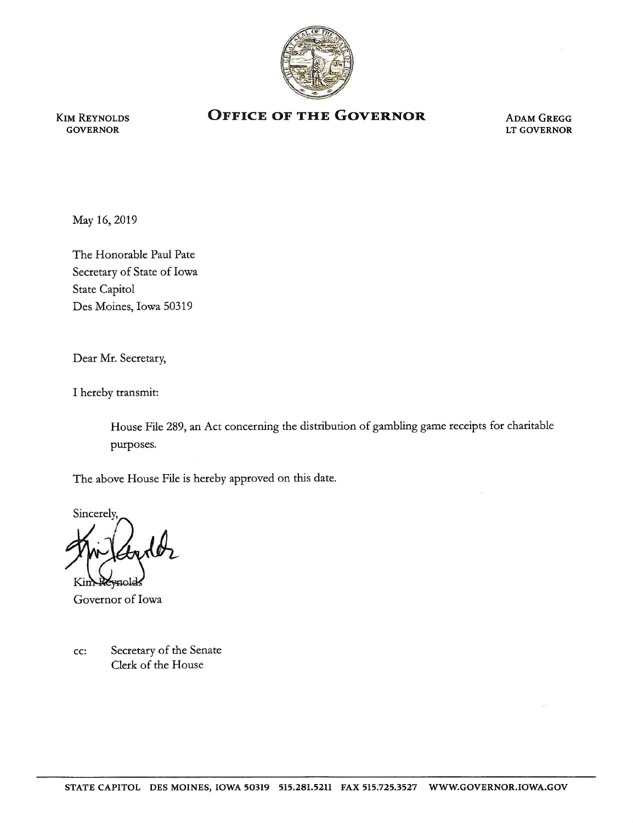

KIM REYNOLDS **GOVERNOR** 

## **OFFICE OF THE GOVERNOR ADAM GREGG**

LT GOVERNOR

May 16, 2019

The Honorable Paul Pate Secretary of State of Iowa State Capitol Des Moines, Iowa 50319

Dear Mr. Secretary,

I hereby transmit:

House File 289, an Act concerning the distribution of gambling game receipts for charitable purposes.

The above House File is hereby approved on this date.

Sincerely,

Governor of Iowa

cc: Secretary of the Senate Clerk of the House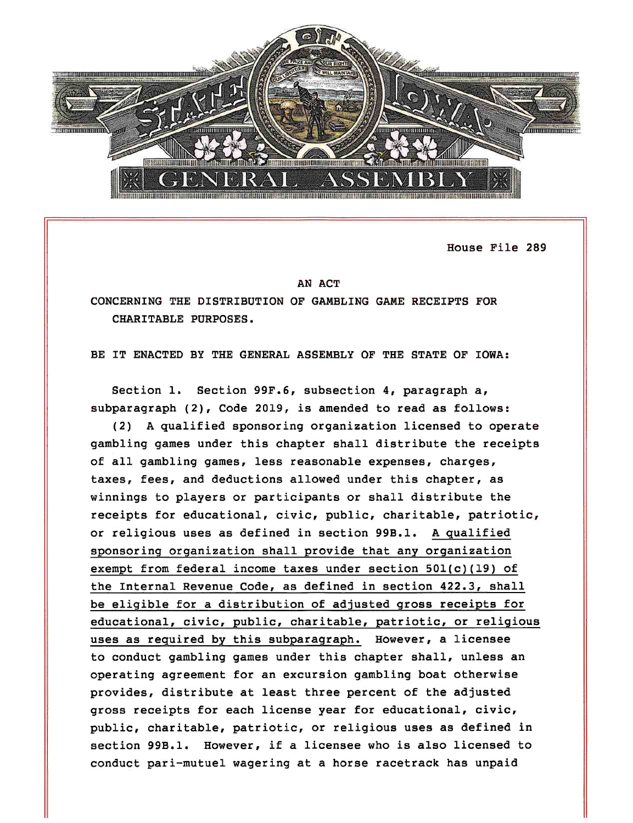

House File 289

## AN ACT

CONCERNING THE DISTRIBUTION OF GAMBLING GAME RECEIPTS FOR CHARITABLE PURPOSES.

BE IT ENACTED BY THE GENERAL ASSEMBLY OF THE STATE OF IOWA:

Section 1. Section 99F.6, subsection 4, paragraph a, subparagraph (2), Code 2019, is amended to read as follows:

(2) A qualified sponsoring organization licensed to operate gambling games under this chapter shall distribute the receipts of all gambling games, less reasonable expenses, charges, taxes, fees, and deductions allowed under this chapter, as winnings to players or participants or shall distribute the receipts for educational, civic, public, charitable, patriotic, or religious uses as defined in section 99B.l. A qualified sponsoring organization shall provide that any organization exempt from federal income taxes under section 50l(c)(l9) of the Internal Revenue Code, as defined in section 422.3, shall be eligible for a distribution of adjusted gross receipts for educational, civic, public, charitable, patriotic, or religious uses as required by this subparagraph. However, a licensee to conduct gambling games under this chapter shall, unless an operating agreement for an excursion gambling boat otherwise provides, distribute at least three percent of the adjusted gross receipts for each license year for educational, civic, public, charitable, patriotic, or religious uses as defined in section 99B.l. However, if a licensee who is also licensed to conduct pari-mutuel wagering at a horse racetrack has unpaid